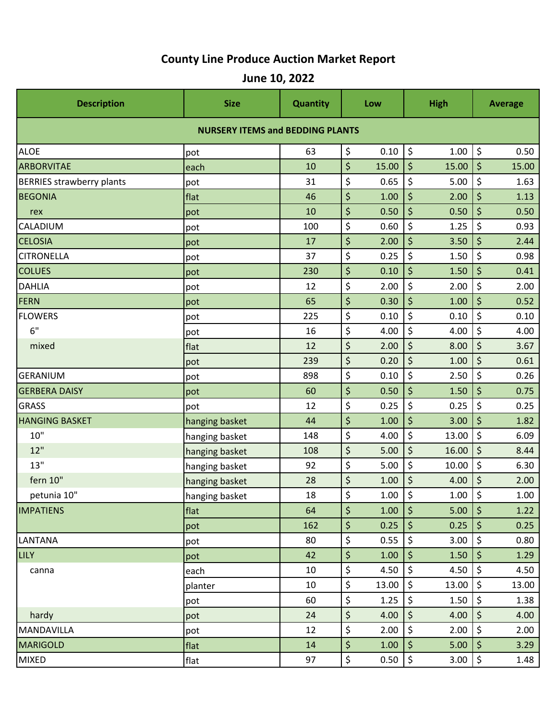## **County Line Produce Auction Market Report**

| <b>Description</b>                      | <b>Size</b>    | <b>Quantity</b> |    | Low       | <b>High</b>              |                    | <b>Average</b> |       |  |  |  |  |  |
|-----------------------------------------|----------------|-----------------|----|-----------|--------------------------|--------------------|----------------|-------|--|--|--|--|--|
| <b>NURSERY ITEMS and BEDDING PLANTS</b> |                |                 |    |           |                          |                    |                |       |  |  |  |  |  |
| <b>ALOE</b>                             | pot            | 63              | \$ | 0.10      | \$                       | 1.00               | $\zeta$        | 0.50  |  |  |  |  |  |
| <b>ARBORVITAE</b>                       | each           | 10              | \$ | 15.00     | $\zeta$                  | 15.00              | \$             | 15.00 |  |  |  |  |  |
| <b>BERRIES strawberry plants</b>        | pot            | 31              | \$ | 0.65      | \$                       | 5.00               | \$             | 1.63  |  |  |  |  |  |
| <b>BEGONIA</b>                          | flat           | 46              | \$ | 1.00      | \$                       | 2.00               | \$             | 1.13  |  |  |  |  |  |
| rex                                     | pot            | 10              | \$ | 0.50      | \$                       | 0.50               | \$             | 0.50  |  |  |  |  |  |
| <b>CALADIUM</b>                         | pot            | 100             | \$ | 0.60      | \$                       | 1.25               | \$             | 0.93  |  |  |  |  |  |
| <b>CELOSIA</b>                          | pot            | 17              | \$ | 2.00      | \$                       | 3.50               | \$             | 2.44  |  |  |  |  |  |
| <b>CITRONELLA</b>                       | pot            | 37              | \$ | 0.25      | \$                       | 1.50               | \$             | 0.98  |  |  |  |  |  |
| <b>COLUES</b>                           | pot            | 230             | \$ | 0.10      | \$                       | 1.50               | \$             | 0.41  |  |  |  |  |  |
| <b>DAHLIA</b>                           | pot            | 12              | \$ | 2.00      | \$                       | 2.00               | \$             | 2.00  |  |  |  |  |  |
| FERN                                    | pot            | 65              | \$ | 0.30      | \$                       | 1.00               | \$             | 0.52  |  |  |  |  |  |
| <b>FLOWERS</b>                          | pot            | 225             | \$ | 0.10      | \$                       | 0.10               | \$             | 0.10  |  |  |  |  |  |
| 6"                                      | pot            | 16              | \$ | 4.00      | \$                       | 4.00               | \$             | 4.00  |  |  |  |  |  |
| mixed                                   | flat           | 12              | \$ | 2.00      | \$                       | 8.00               | \$             | 3.67  |  |  |  |  |  |
|                                         | pot            | 239             | \$ | 0.20      | \$                       | 1.00               | \$             | 0.61  |  |  |  |  |  |
| <b>GERANIUM</b>                         | pot            | 898             | \$ | 0.10      | \$                       | 2.50               | \$             | 0.26  |  |  |  |  |  |
| <b>GERBERA DAISY</b>                    | pot            | 60              | \$ | 0.50      | \$                       | 1.50               | \$             | 0.75  |  |  |  |  |  |
| <b>GRASS</b>                            | pot            | 12              | \$ | 0.25      | \$                       | 0.25               | \$             | 0.25  |  |  |  |  |  |
| <b>HANGING BASKET</b>                   | hanging basket | 44              | \$ | 1.00      | \$                       | 3.00               | \$             | 1.82  |  |  |  |  |  |
| 10"                                     | hanging basket | 148             | \$ | 4.00      | \$                       | 13.00              | \$             | 6.09  |  |  |  |  |  |
| 12"                                     | hanging basket | 108             | \$ | 5.00      | \$                       | 16.00              | \$             | 8.44  |  |  |  |  |  |
| 13"                                     | hanging basket | 92              | \$ | 5.00      | \$                       | 10.00              | \$             | 6.30  |  |  |  |  |  |
| fern 10"                                | hanging basket | 28              | \$ | 1.00      | \$                       | 4.00               | \$             | 2.00  |  |  |  |  |  |
| petunia 10"                             | hanging basket | 18              | \$ | $1.00$ \$ |                          | $1.00$ \$          |                | 1.00  |  |  |  |  |  |
| <b>IMPATIENS</b>                        | flat           | 64              | \$ | 1.00      | $\vert \mathsf{S} \vert$ | $5.00$   \$        |                | 1.22  |  |  |  |  |  |
|                                         | pot            | 162             | \$ | $0.25$ \$ |                          | $0.25$ \$          |                | 0.25  |  |  |  |  |  |
| LANTANA                                 | pot            | 80              | \$ | 0.55      | \$                       | 3.00               | $\zeta$        | 0.80  |  |  |  |  |  |
| <b>LILY</b>                             | pot            | 42              | \$ | 1.00      | $\zeta$                  | 1.50 $\frac{1}{2}$ |                | 1.29  |  |  |  |  |  |
| canna                                   | each           | 10              | \$ | 4.50      | \$                       | 4.50 $\frac{1}{5}$ |                | 4.50  |  |  |  |  |  |
|                                         | planter        | 10              | \$ | 13.00     | \$                       | $13.00$   \$       |                | 13.00 |  |  |  |  |  |
|                                         | pot            | 60              | \$ | 1.25      | \$                       | 1.50               | $\zeta$        | 1.38  |  |  |  |  |  |
| hardy                                   | pot            | 24              | \$ | 4.00      | $\zeta$                  | 4.00 $\frac{1}{5}$ |                | 4.00  |  |  |  |  |  |
| MANDAVILLA                              | pot            | 12              | \$ | 2.00      | $\zeta$                  | 2.00               | $\zeta$        | 2.00  |  |  |  |  |  |
| <b>MARIGOLD</b>                         | flat           | 14              | \$ | 1.00      | $\zeta$                  | 5.00               | $\zeta$        | 3.29  |  |  |  |  |  |
| MIXED                                   | flat           | 97              | \$ | 0.50      | $\boldsymbol{\zeta}$     | $3.00$   \$        |                | 1.48  |  |  |  |  |  |